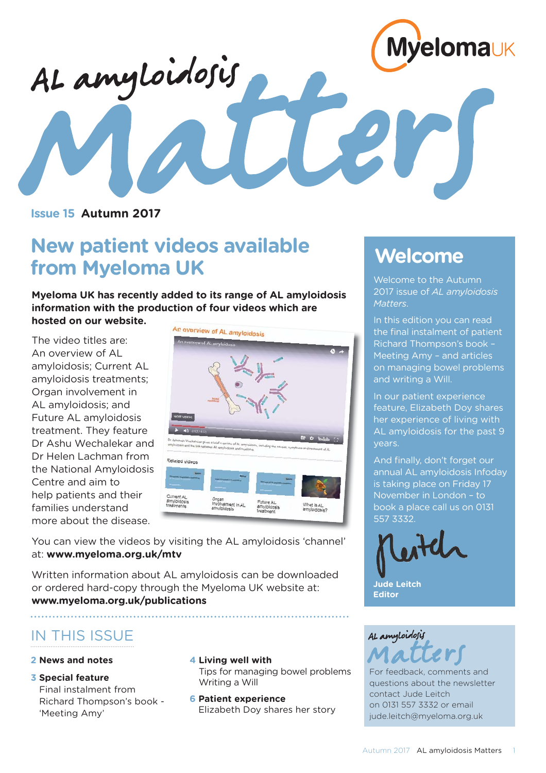

# AL amyloidosis

**Issue 15 Autumn 2017**

## **New patient videos available from Myeloma UK**

**Myeloma UK has recently added to its range of AL amyloidosis information with the production of four videos which are hosted on our website.** 

The video titles are: An overview of AL amyloidosis; Current AL amyloidosis treatments; Organ involvement in AL amyloidosis; and Future AL amyloidosis treatment. They feature Dr Ashu Wechalekar and Dr Helen Lachman from the National Amyloidosis Centre and aim to help patients and their families understand more about the disease.



You can view the videos by visiting the AL amyloidosis 'channel' at: **www.myeloma.org.uk/mtv** 

Written information about AL amyloidosis can be downloaded or ordered hard-copy through the Myeloma UK website at: **www.myeloma.org.uk/publications**

### IN THIS ISSUE

#### **2 News and notes**

**3 Special feature**

Final instalment from Richard Thompson's book - 'Meeting Amy'

#### **4 Living well with**

Tips for managing bowel problems Writing a Will

**6 Patient experience**  Elizabeth Doy shares her story

### **Welcome**

Welcome to the Autumn 2017 issue of *AL amyloidosis Matters*.

In this edition you can read the final instalment of patient Richard Thompson's book – Meeting Amy – and articles on managing bowel problems and writing a Will.

In our patient experience feature, Elizabeth Doy shares her experience of living with AL amyloidosis for the past 9 years.

And finally, don't forget our annual AL amyloidosis Infoday is taking place on Friday 17 November in London – to book a place call us on 0131 557 3332.





For feedback, comments and questions about the newsletter contact Jude Leitch on 0131 557 3332 or email jude.leitch@myeloma.org.uk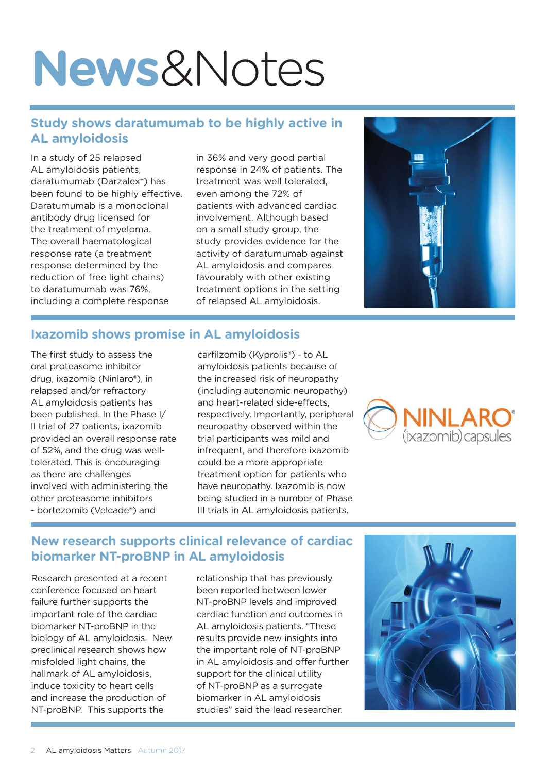# **News**&Notes

#### **Study shows daratumumab to be highly active in AL amyloidosis**

In a study of 25 relapsed AL amyloidosis patients, daratumumab (Darzalex®) has been found to be highly effective. Daratumumab is a monoclonal antibody drug licensed for the treatment of myeloma. The overall haematological response rate (a treatment response determined by the reduction of free light chains) to daratumumab was 76%, including a complete response

in 36% and very good partial response in 24% of patients. The treatment was well tolerated, even among the 72% of patients with advanced cardiac involvement. Although based on a small study group, the study provides evidence for the activity of daratumumab against AL amyloidosis and compares favourably with other existing treatment options in the setting of relapsed AL amyloidosis.



#### **Ixazomib shows promise in AL amyloidosis**

The first study to assess the oral proteasome inhibitor drug, ixazomib (Ninlaro®), in relapsed and/or refractory AL amyloidosis patients has been published. In the Phase I/ II trial of 27 patients, ixazomib provided an overall response rate of 52%, and the drug was welltolerated. This is encouraging as there are challenges involved with administering the other proteasome inhibitors - bortezomib (Velcade®) and

carfilzomib (Kyprolis®) - to AL amyloidosis patients because of the increased risk of neuropathy (including autonomic neuropathy) and heart-related side-effects, respectively. Importantly, peripheral neuropathy observed within the trial participants was mild and infrequent, and therefore ixazomib could be a more appropriate treatment option for patients who have neuropathy. Ixazomib is now being studied in a number of Phase III trials in AL amyloidosis patients.



#### **New research supports clinical relevance of cardiac biomarker NT-proBNP in AL amyloidosis**

Research presented at a recent conference focused on heart failure further supports the important role of the cardiac biomarker NT-proBNP in the biology of AL amyloidosis. New preclinical research shows how misfolded light chains, the hallmark of AL amyloidosis, induce toxicity to heart cells and increase the production of NT-proBNP. This supports the

relationship that has previously been reported between lower NT-proBNP levels and improved cardiac function and outcomes in AL amyloidosis patients. "These results provide new insights into the important role of NT-proBNP in AL amyloidosis and offer further support for the clinical utility of NT-proBNP as a surrogate biomarker in AL amyloidosis studies" said the lead researcher.

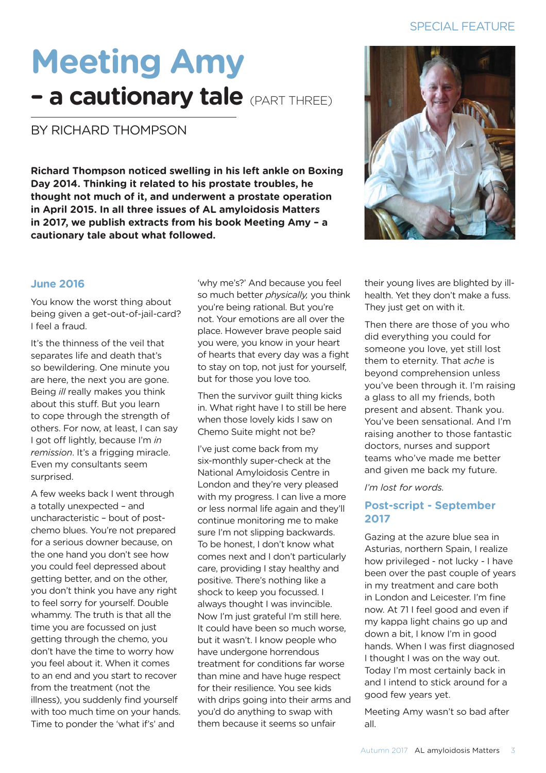# **Meeting Amy - a cautionary tale** (PART THREE)

#### BY RICHARD THOMPSON

**Richard Thompson noticed swelling in his left ankle on Boxing Day 2014. Thinking it related to his prostate troubles, he thought not much of it, and underwent a prostate operation in April 2015. In all three issues of AL amyloidosis Matters in 2017, we publish extracts from his book Meeting Amy – a cautionary tale about what followed.** 



#### **June 2016**

You know the worst thing about being given a get-out-of-jail-card? I feel a fraud.

It's the thinness of the veil that separates life and death that's so bewildering. One minute you are here, the next you are gone. Being *ill* really makes you think about this stuff. But you learn to cope through the strength of others. For now, at least, I can say I got off lightly, because I'm *in remission*. It's a frigging miracle. Even my consultants seem surprised.

A few weeks back I went through a totally unexpected – and uncharacteristic – bout of postchemo blues. You're not prepared for a serious downer because, on the one hand you don't see how you could feel depressed about getting better, and on the other, you don't think you have any right to feel sorry for yourself. Double whammy. The truth is that all the time you are focussed on just getting through the chemo, you don't have the time to worry how you feel about it. When it comes to an end and you start to recover from the treatment (not the illness), you suddenly find yourself with too much time on your hands. Time to ponder the 'what if's' and

'why me's?' And because you feel so much better *physically,* you think you're being rational. But you're not. Your emotions are all over the place. However brave people said you were, you know in your heart of hearts that every day was a fight to stay on top, not just for yourself, but for those you love too.

Then the survivor guilt thing kicks in. What right have I to still be here when those lovely kids I saw on Chemo Suite might not be?

I've just come back from my six-monthly super-check at the National Amyloidosis Centre in London and they're very pleased with my progress. I can live a more or less normal life again and they'll continue monitoring me to make sure I'm not slipping backwards. To be honest, I don't know what comes next and I don't particularly care, providing I stay healthy and positive. There's nothing like a shock to keep you focussed. I always thought I was invincible. Now I'm just grateful I'm still here. It could have been so much worse, but it wasn't. I know people who have undergone horrendous treatment for conditions far worse than mine and have huge respect for their resilience. You see kids with drips going into their arms and you'd do anything to swap with them because it seems so unfair

their young lives are blighted by illhealth. Yet they don't make a fuss. They just get on with it.

Then there are those of you who did everything you could for someone you love, yet still lost them to eternity. That *ache* is beyond comprehension unless you've been through it. I'm raising a glass to all my friends, both present and absent. Thank you. You've been sensational. And I'm raising another to those fantastic doctors, nurses and support teams who've made me better and given me back my future.

*I'm lost for words.* 

#### **Post-script - September 2017**

Gazing at the azure blue sea in Asturias, northern Spain, I realize how privileged - not lucky - I have been over the past couple of years in my treatment and care both in London and Leicester. I'm fine now. At 71 I feel good and even if my kappa light chains go up and down a bit, I know I'm in good hands. When I was first diagnosed I thought I was on the way out. Today I'm most certainly back in and I intend to stick around for a good few years yet.

Meeting Amy wasn't so bad after all.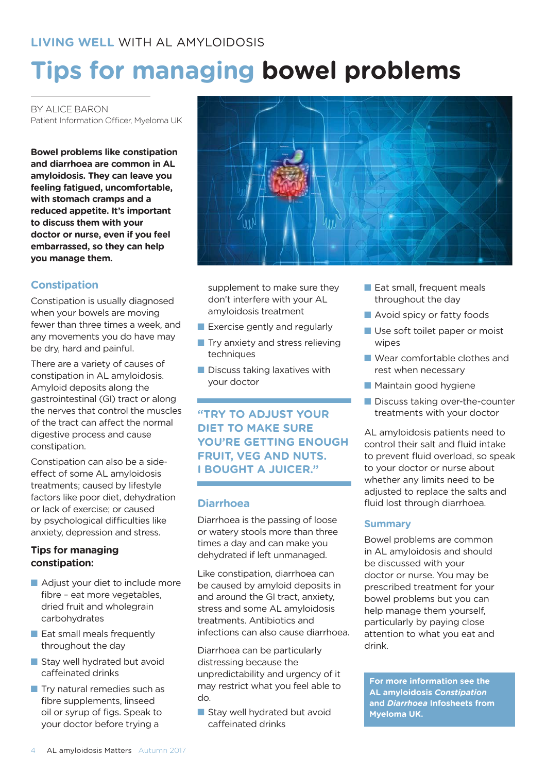## **Tips for managing bowel problems**

BY ALICE BARON Patient Information Officer, Myeloma UK

**Bowel problems like constipation and diarrhoea are common in AL amyloidosis. They can leave you feeling fatigued, uncomfortable, with stomach cramps and a reduced appetite. It's important to discuss them with your doctor or nurse, even if you feel embarrassed, so they can help you manage them.** 

#### **Constipation**

Constipation is usually diagnosed when your bowels are moving fewer than three times a week, and any movements you do have may be dry, hard and painful.

There are a variety of causes of constipation in AL amyloidosis. Amyloid deposits along the gastrointestinal (GI) tract or along the nerves that control the muscles of the tract can affect the normal digestive process and cause constipation.

Constipation can also be a sideeffect of some AL amyloidosis treatments; caused by lifestyle factors like poor diet, dehydration or lack of exercise; or caused by psychological difficulties like anxiety, depression and stress.

#### **Tips for managing constipation:**

- $\blacksquare$  Adjust your diet to include more fibre – eat more vegetables, dried fruit and wholegrain carbohydrates
- $\blacksquare$  Eat small meals frequently throughout the day
- $\blacksquare$  Stay well hydrated but avoid caffeinated drinks
- $\blacksquare$  Try natural remedies such as fibre supplements, linseed oil or syrup of figs. Speak to your doctor before trying a



supplement to make sure they don't interfere with your AL amyloidosis treatment

- Exercise gently and regularly
- $\blacksquare$  Try anxiety and stress relieving techniques
- $\blacksquare$  Discuss taking laxatives with your doctor

#### **"TRY TO ADJUST YOUR DIET TO MAKE SURE YOU'RE GETTING ENOUGH FRUIT, VEG AND NUTS. I BOUGHT A JUICER."**

#### **Diarrhoea**

Diarrhoea is the passing of loose or watery stools more than three times a day and can make you dehydrated if left unmanaged.

Like constipation, diarrhoea can be caused by amyloid deposits in and around the GI tract, anxiety, stress and some AL amyloidosis treatments. Antibiotics and infections can also cause diarrhoea.

Diarrhoea can be particularly distressing because the unpredictability and urgency of it may restrict what you feel able to do.

 $\blacksquare$  Stay well hydrated but avoid caffeinated drinks

- $\blacksquare$  Eat small, frequent meals throughout the day
- Avoid spicy or fatty foods
- Use soft toilet paper or moist wipes
- Wear comfortable clothes and rest when necessary
- **Maintain good hygiene**
- $\blacksquare$  Discuss taking over-the-counter treatments with your doctor

AL amyloidosis patients need to control their salt and fluid intake to prevent fluid overload, so speak to your doctor or nurse about whether any limits need to be adjusted to replace the salts and fluid lost through diarrhoea.

#### **Summary**

Bowel problems are common in AL amyloidosis and should be discussed with your doctor or nurse. You may be prescribed treatment for your bowel problems but you can help manage them yourself, particularly by paying close attention to what you eat and drink.

**For more information see the AL amyloidosis** *Constipation*  **and** *Diarrhoea* **Infosheets from Myeloma UK.**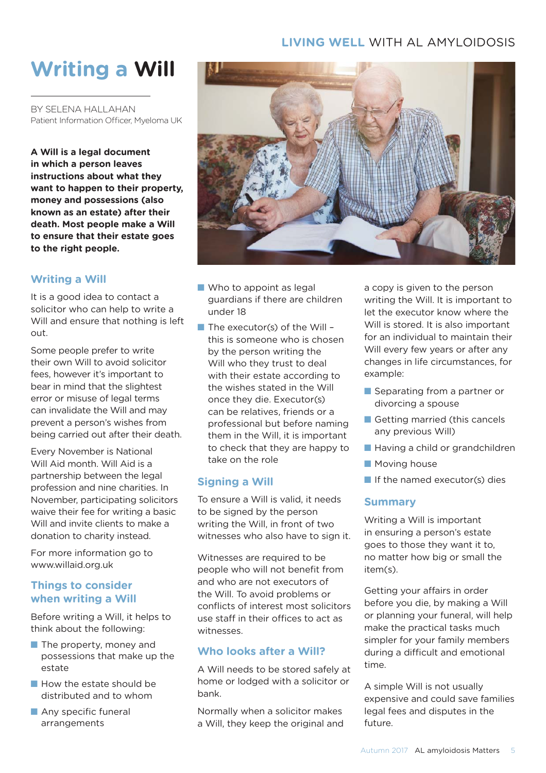#### **LIVING WELL** WITH AL AMYLOIDOSIS

## **Writing a Will**

BY SELENA HALLAHAN Patient Information Officer, Myeloma UK

**A Will is a legal document in which a person leaves instructions about what they want to happen to their property, money and possessions (also known as an estate) after their death. Most people make a Will to ensure that their estate goes to the right people.** 

#### **Writing a Will**

It is a good idea to contact a solicitor who can help to write a Will and ensure that nothing is left out.

Some people prefer to write their own Will to avoid solicitor fees, however it's important to bear in mind that the slightest error or misuse of legal terms can invalidate the Will and may prevent a person's wishes from being carried out after their death.

Every November is National Will Aid month. Will Aid is a partnership between the legal profession and nine charities. In November, participating solicitors waive their fee for writing a basic Will and invite clients to make a donation to charity instead.

For more information go to www.willaid.org.uk

#### **Things to consider when writing a Will**

Before writing a Will, it helps to think about the following:

- $\blacksquare$  The property, money and possessions that make up the estate
- $\blacksquare$  How the estate should be distributed and to whom
- $\blacksquare$  Any specific funeral arrangements



- $\blacksquare$  Who to appoint as legal guardians if there are children under 18
- $\blacksquare$  The executor(s) of the Will this is someone who is chosen by the person writing the Will who they trust to deal with their estate according to the wishes stated in the Will once they die. Executor(s) can be relatives, friends or a professional but before naming them in the Will, it is important to check that they are happy to take on the role

#### **Signing a Will**

To ensure a Will is valid, it needs to be signed by the person writing the Will, in front of two witnesses who also have to sign it.

Witnesses are required to be people who will not benefit from and who are not executors of the Will. To avoid problems or conflicts of interest most solicitors use staff in their offices to act as witnesses.

#### **Who looks after a Will?**

A Will needs to be stored safely at home or lodged with a solicitor or bank.

Normally when a solicitor makes a Will, they keep the original and a copy is given to the person writing the Will. It is important to let the executor know where the Will is stored. It is also important for an individual to maintain their Will every few years or after any changes in life circumstances, for example:

- $\blacksquare$  Separating from a partner or divorcing a spouse
- Getting married (this cancels any previous Will)
- Having a child or grandchildren
- Moving house
- $\blacksquare$  If the named executor(s) dies

#### **Summary**

Writing a Will is important in ensuring a person's estate goes to those they want it to, no matter how big or small the item(s).

Getting your affairs in order before you die, by making a Will or planning your funeral, will help make the practical tasks much simpler for your family members during a difficult and emotional time.

A simple Will is not usually expensive and could save families legal fees and disputes in the future.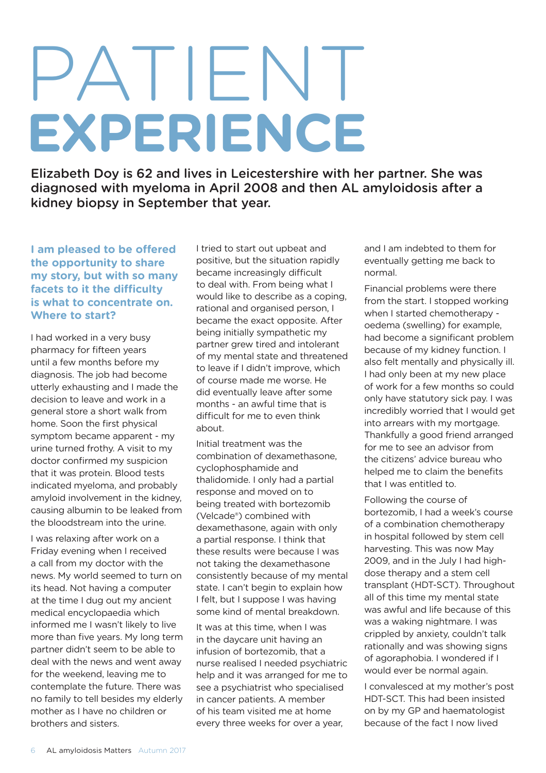# **EXPERIENCE** PATIENT

Elizabeth Doy is 62 and lives in Leicestershire with her partner. She was diagnosed with myeloma in April 2008 and then AL amyloidosis after a kidney biopsy in September that year.

**I am pleased to be offered the opportunity to share my story, but with so many facets to it the difficulty is what to concentrate on. Where to start?** 

I had worked in a very busy pharmacy for fifteen years until a few months before my diagnosis. The job had become utterly exhausting and I made the decision to leave and work in a general store a short walk from home. Soon the first physical symptom became apparent - my urine turned frothy. A visit to my doctor confirmed my suspicion that it was protein. Blood tests indicated myeloma, and probably amyloid involvement in the kidney, causing albumin to be leaked from the bloodstream into the urine.

I was relaxing after work on a Friday evening when I received a call from my doctor with the news. My world seemed to turn on its head. Not having a computer at the time I dug out my ancient medical encyclopaedia which informed me I wasn't likely to live more than five years. My long term partner didn't seem to be able to deal with the news and went away for the weekend, leaving me to contemplate the future. There was no family to tell besides my elderly mother as I have no children or brothers and sisters.

I tried to start out upbeat and positive, but the situation rapidly became increasingly difficult to deal with. From being what I would like to describe as a coping, rational and organised person, I became the exact opposite. After being initially sympathetic my partner grew tired and intolerant of my mental state and threatened to leave if I didn't improve, which of course made me worse. He did eventually leave after some months - an awful time that is difficult for me to even think about.

Initial treatment was the combination of dexamethasone, cyclophosphamide and thalidomide. I only had a partial response and moved on to being treated with bortezomib (Velcade®) combined with dexamethasone, again with only a partial response. I think that these results were because I was not taking the dexamethasone consistently because of my mental state. I can't begin to explain how I felt, but I suppose I was having some kind of mental breakdown.

It was at this time, when I was in the daycare unit having an infusion of bortezomib, that a nurse realised I needed psychiatric help and it was arranged for me to see a psychiatrist who specialised in cancer patients. A member of his team visited me at home every three weeks for over a year,

and I am indebted to them for eventually getting me back to normal.

Financial problems were there from the start. I stopped working when I started chemotherapy oedema (swelling) for example, had become a significant problem because of my kidney function. I also felt mentally and physically ill. I had only been at my new place of work for a few months so could only have statutory sick pay. I was incredibly worried that I would get into arrears with my mortgage. Thankfully a good friend arranged for me to see an advisor from the citizens' advice bureau who helped me to claim the benefits that I was entitled to.

Following the course of bortezomib, I had a week's course of a combination chemotherapy in hospital followed by stem cell harvesting. This was now May 2009, and in the July I had highdose therapy and a stem cell transplant (HDT-SCT). Throughout all of this time my mental state was awful and life because of this was a waking nightmare. I was crippled by anxiety, couldn't talk rationally and was showing signs of agoraphobia. I wondered if I would ever be normal again.

I convalesced at my mother's post HDT-SCT. This had been insisted on by my GP and haematologist because of the fact I now lived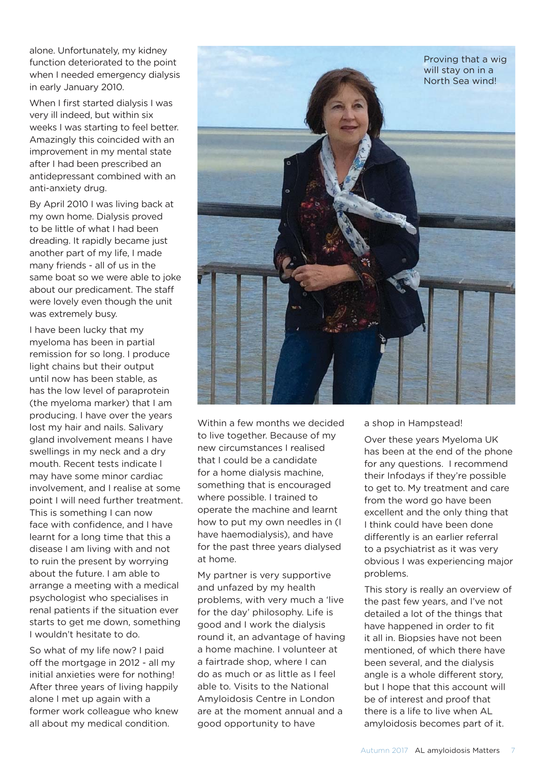alone. Unfortunately, my kidney function deteriorated to the point when I needed emergency dialysis in early January 2010.

When I first started dialysis I was very ill indeed, but within six weeks I was starting to feel better. Amazingly this coincided with an improvement in my mental state after I had been prescribed an antidepressant combined with an anti-anxiety drug.

By April 2010 I was living back at my own home. Dialysis proved to be little of what I had been dreading. It rapidly became just another part of my life, I made many friends - all of us in the same boat so we were able to joke about our predicament. The staff were lovely even though the unit was extremely busy.

I have been lucky that my myeloma has been in partial remission for so long. I produce light chains but their output until now has been stable, as has the low level of paraprotein (the myeloma marker) that I am producing. I have over the years lost my hair and nails. Salivary gland involvement means I have swellings in my neck and a dry mouth. Recent tests indicate l may have some minor cardiac involvement, and I realise at some point I will need further treatment. This is something I can now face with confidence, and I have learnt for a long time that this a disease I am living with and not to ruin the present by worrying about the future. I am able to arrange a meeting with a medical psychologist who specialises in renal patients if the situation ever starts to get me down, something I wouldn't hesitate to do.

So what of my life now? I paid off the mortgage in 2012 - all my initial anxieties were for nothing! After three years of living happily alone I met up again with a former work colleague who knew all about my medical condition.



Within a few months we decided to live together. Because of my new circumstances I realised that I could be a candidate for a home dialysis machine, something that is encouraged where possible. I trained to operate the machine and learnt how to put my own needles in (I have haemodialysis), and have for the past three years dialysed at home.

My partner is very supportive and unfazed by my health problems, with very much a 'live for the day' philosophy. Life is good and I work the dialysis round it, an advantage of having a home machine. I volunteer at a fairtrade shop, where I can do as much or as little as I feel able to. Visits to the National Amyloidosis Centre in London are at the moment annual and a good opportunity to have

a shop in Hampstead!

Over these years Myeloma UK has been at the end of the phone for any questions. I recommend their Infodays if they're possible to get to. My treatment and care from the word go have been excellent and the only thing that I think could have been done differently is an earlier referral to a psychiatrist as it was very obvious I was experiencing major problems.

This story is really an overview of the past few years, and I've not detailed a lot of the things that have happened in order to fit it all in. Biopsies have not been mentioned, of which there have been several, and the dialysis angle is a whole different story, but I hope that this account will be of interest and proof that there is a life to live when AL amyloidosis becomes part of it.